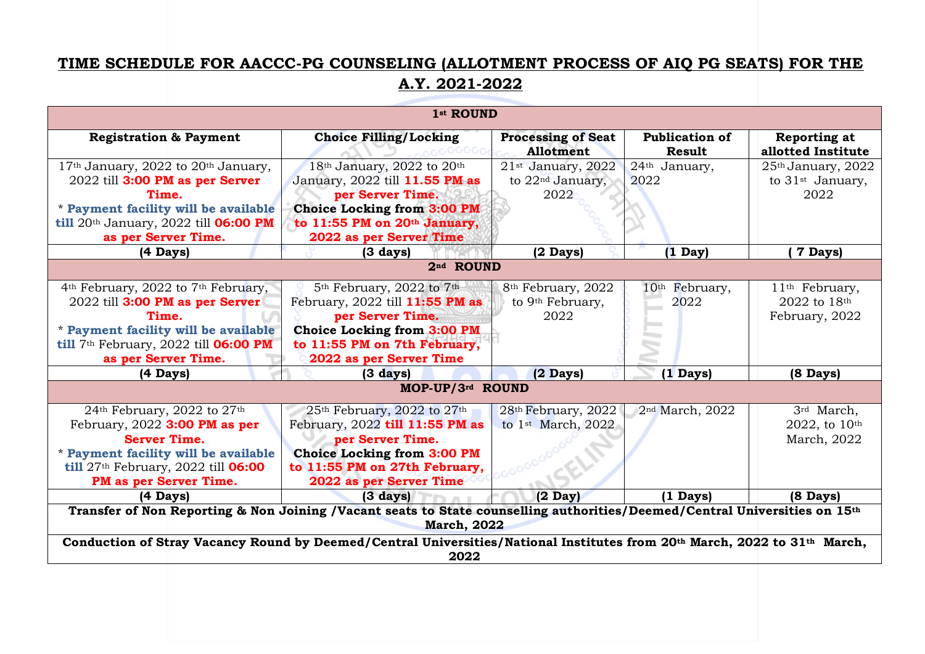## **TIME SCHEDULE FOR AACCC-PG COUNSELING (ALLOTMENT PROCESS OF AIQ PG SEATS) FOR THE A.Y. 2021-2022**

| 1st ROUND                                                                                                                                                                                                                                       |                                                                                                                                                                                                              |                                                                        |                                    |                                                                        |
|-------------------------------------------------------------------------------------------------------------------------------------------------------------------------------------------------------------------------------------------------|--------------------------------------------------------------------------------------------------------------------------------------------------------------------------------------------------------------|------------------------------------------------------------------------|------------------------------------|------------------------------------------------------------------------|
| <b>Registration &amp; Payment</b>                                                                                                                                                                                                               | <b>Choice Filling/Locking</b>                                                                                                                                                                                | <b>Processing of Seat</b><br>Allotment                                 | <b>Publication of</b><br>Result    | Reporting at<br>allotted Institute                                     |
| 17 <sup>th</sup> January, 2022 to 20 <sup>th</sup> January,<br>2022 till 3:00 PM as per Server<br>Time.<br>* Payment facility will be available<br>till 20th January, 2022 till <b>06:00 PM</b><br>as per Server Time.                          | $18th$ January, 2022 to 20 <sup>th</sup><br>January, 2022 till 11.55 PM as<br>per Server Time.<br><b>Choice Locking from 3:00 PM</b><br>to 11:55 PM on 20th January,<br>2022 as per Server Time              | $21st$ January, 2022<br>to 22 <sup>nd</sup> January,<br>2022           | 24th January,<br>2022              | 25 <sup>th</sup> January, 2022<br>to 31 <sup>st</sup> January,<br>2022 |
| $(4 \text{ Days})$                                                                                                                                                                                                                              | $(3 \text{ days})$                                                                                                                                                                                           | $(2 \text{ Days})$                                                     | $(1 \text{ Day})$                  | 7 Days)                                                                |
| 2nd ROUND                                                                                                                                                                                                                                       |                                                                                                                                                                                                              |                                                                        |                                    |                                                                        |
| 4 <sup>th</sup> February, 2022 to 7 <sup>th</sup> February,<br>2022 till 3:00 PM as per Server<br>Time.<br>* Payment facility will be available<br>till 7 <sup>th</sup> February, 2022 till <b>06:00 PM</b><br>as per Server Time.              | 5 <sup>th</sup> February, 2022 to 7 <sup>th</sup><br>February, 2022 till 11:55 PM as<br>per Server Time.<br>Choice Locking from 3:00 PM<br>to 11:55 PM on 7th February,<br>2022 as per Server Time           | 8 <sup>th</sup> February, 2022<br>to 9 <sup>th</sup> February,<br>2022 | 10 <sup>th</sup> February,<br>2022 | 11 <sup>th</sup> February,<br>2022 to 18th<br>February, 2022           |
| $(4 \text{ Days})$                                                                                                                                                                                                                              | $(3 \text{ days})$                                                                                                                                                                                           | $(2 \text{ Days})$                                                     | (1 Days)                           | (8 Days)                                                               |
| MOP-UP/3rd ROUND                                                                                                                                                                                                                                |                                                                                                                                                                                                              |                                                                        |                                    |                                                                        |
| $24th$ February, 2022 to $27th$<br>February, $2022$ 3:00 PM as per<br><b>Server Time.</b><br>* Payment facility will be available<br>$\frac{1}{27}$ <sup>till</sup> 27 <sup>th</sup> February, 2022 till <b>06:00</b><br>PM as per Server Time. | 25 <sup>th</sup> February, 2022 to 27 <sup>th</sup><br>February, 2022 till 11:55 PM as<br>per Server Time.<br><b>Choice Locking from 3:00 PM</b><br>to 11:55 PM on 27th February,<br>2022 as per Server Time | 28 <sup>th</sup> February, 2022<br>to $1st$ March, 2022                | 2 <sup>nd</sup> March, 2022        | 3rd March,<br>2022, to 10th<br>March, 2022                             |
| $(4 \text{ Days})$                                                                                                                                                                                                                              | $(3 \text{ days})$                                                                                                                                                                                           | $(2 \text{ Day})$                                                      | $(1 \text{ Days})$                 | $(8 \text{ Days})$                                                     |
| Transfer of Non Reporting & Non Joining /Vacant seats to State counselling authorities/Deemed/Central Universities on 15th<br><b>March, 2022</b>                                                                                                |                                                                                                                                                                                                              |                                                                        |                                    |                                                                        |
| Conduction of Stray Vacancy Round by Deemed/Central Universities/National Institutes from 20th March, 2022 to 31th March,<br>2022                                                                                                               |                                                                                                                                                                                                              |                                                                        |                                    |                                                                        |